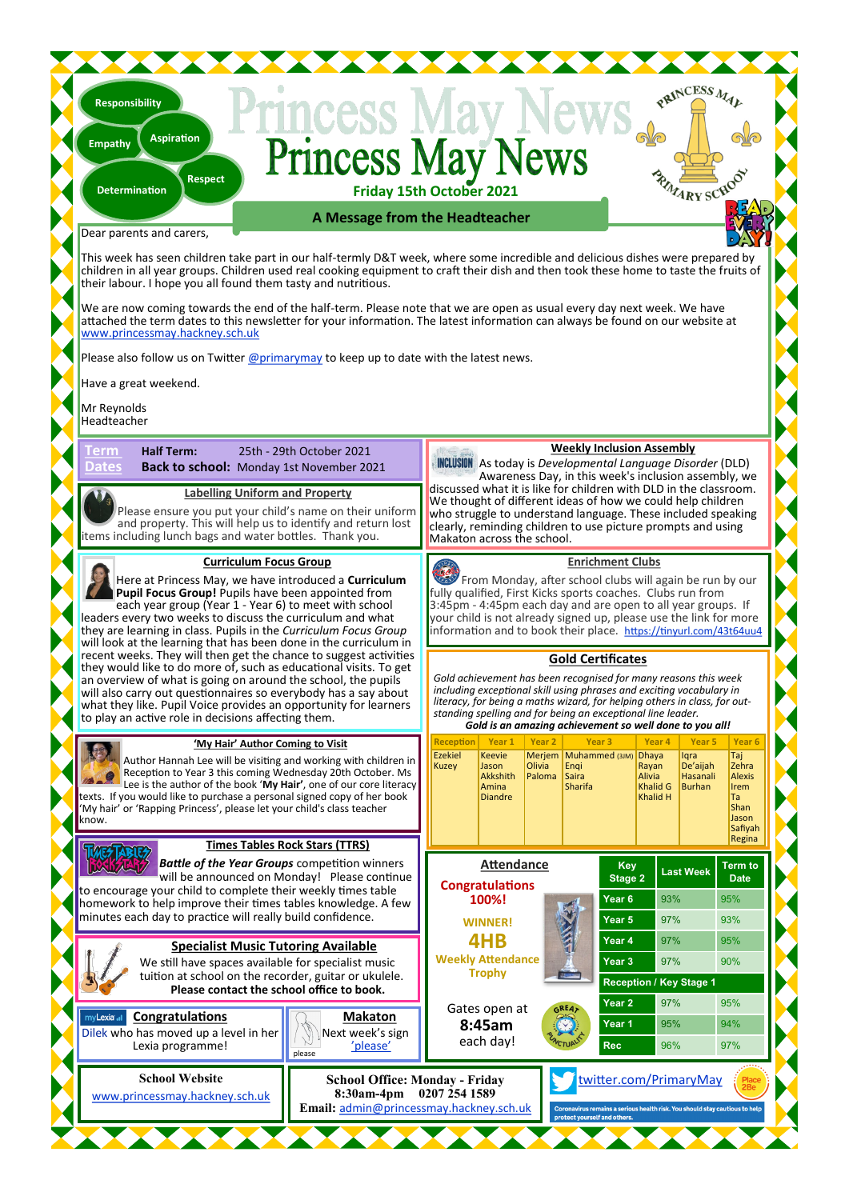